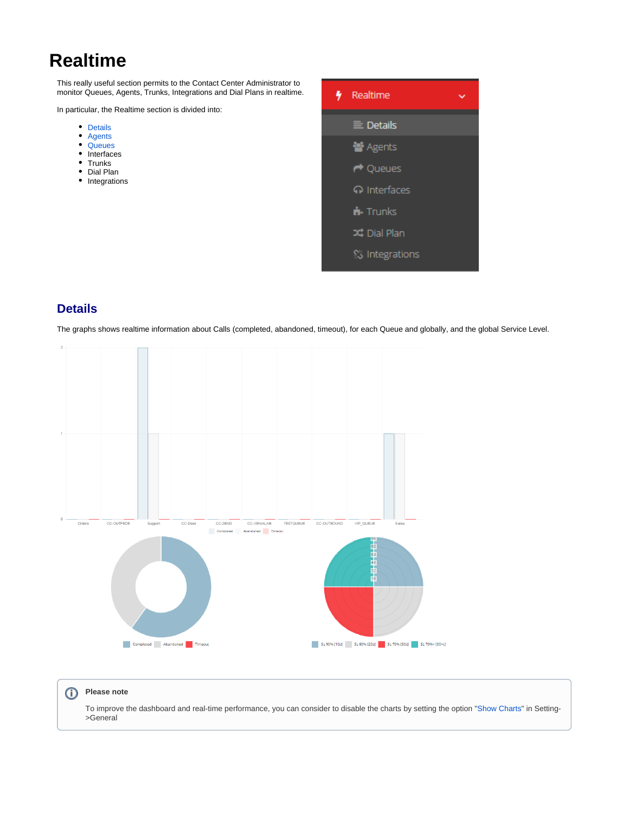# **Realtime**

This really useful section permits to the Contact Center Administrator to monitor Queues, Agents, Trunks, Integrations and Dial Plans in realtime.

In particular, the Realtime section is divided into:

- Details
- [Agents](#page-1-0)
- **[Queues](#page-3-0)**
- Interfaces
- Trunks
- Dial Plan
- Integrations



## **Details**

The graphs shows realtime information about Calls (completed, abandoned, timeout), for each Queue and globally, and the global Service Level.



#### **Please note** ⋒

To improve the dashboard and real-time performance, you can consider to disable the charts by setting the option "[Show Charts"](https://wiki.xcallymotion.com/display/XS/General) in Setting- >General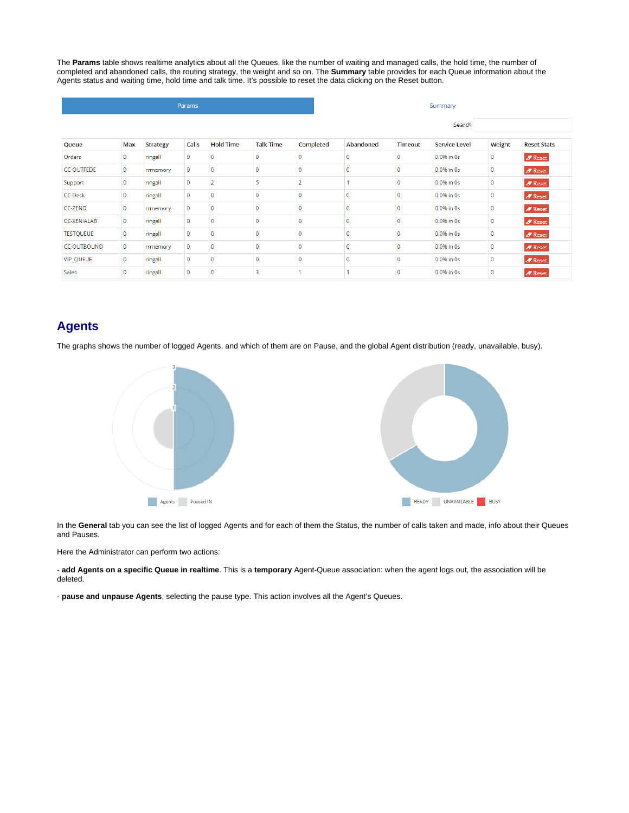The **Params** table shows realtime analytics about all the Queues, like the number of waiting and managed calls, the hold time, the number of completed and abandoned calls, the routing strategy, the weight and so on. The **Summary** table provides for each Queue information about the Agents status and waiting time, hold time and talk time. It's possible to reset the data clicking on the Reset button.

| Params             |             |                 |             |                  |                  |           | Summary   |                |                      |        |                             |  |  |
|--------------------|-------------|-----------------|-------------|------------------|------------------|-----------|-----------|----------------|----------------------|--------|-----------------------------|--|--|
|                    |             |                 |             |                  |                  |           |           |                | Search               |        |                             |  |  |
| Queue              | Max         | <b>Strategy</b> | Calls       | <b>Hold Time</b> | <b>Talk Time</b> | Completed | Abandoned | <b>Timeout</b> | <b>Service Level</b> | Weight | <b>Reset Stats</b>          |  |  |
| Orders             | 0           | ringall         | 0           | $\circ$          | $\mathbf 0$      | 0         | 0         | $\mathbf{0}$   | 0.0% in 0s           | 0      | $\blacktriangleright$ Reset |  |  |
| <b>CC-OUTFEDE</b>  | $\mathbf 0$ | rrmemory        | $\mathbf 0$ | $\mathbf 0$      | $\mathbf{0}$     | 0         | 0         | $\mathbf 0$    | 0.0% in 0s           | 0      | $\mathscr{I}$ Reset         |  |  |
| Support            | 0           | ringall         | $\mathbf 0$ | $\overline{2}$   | 5                | 2         |           | $\mathbf 0$    | 0.0% in 0s           | 0      | $\blacktriangleright$ Reset |  |  |
| <b>CC-Desk</b>     | 0           | ringall         | $\mathbf 0$ | $\mathbf 0$      | $\mathbf{0}$     | 0         | 0         | $\mathbf 0$    | 0.0% in 0s           | 0      | $\mathscr{I}$ Reset         |  |  |
| <b>CC-ZEND</b>     | 0           | rrmemory        | $\mathbf 0$ | $\mathbf 0$      | $\mathbf{0}$     | 0         | 0         | $\mathbf 0$    | 0.0% in 0s           | 0      | $\mathscr{B}$ Reset         |  |  |
| <b>CC-XENIALAB</b> | $\mathbf 0$ | ringall         | $\mathbf 0$ | $\mathbf{0}$     | $\mathbf{0}$     | 0         | 0         | $\mathbf 0$    | 0.0% in 0s           | 0      | $\mathscr{I}$ Reset         |  |  |
| <b>TESTQUEUE</b>   | $\mathbf 0$ | ringall         | $\mathbf 0$ | $\circ$          | $\mathbf{0}$     | 0         | 0         | $\Omega$       | 0.0% in 0s           | 0      | $\mathscr{B}$ Reset         |  |  |
| <b>CC-OUTBOUND</b> | 0           | rrmemory        | $\mathbf 0$ | $\mathbf 0$      | $\mathbf 0$      | 0         | 0         | $\mathbf 0$    | 0.0% in 0s           | 0      | $\mathscr{I}$ Reset         |  |  |
| VIP_QUEUE          | 0           | ringall         | $\mathbf 0$ | $\mathbf 0$      | $\mathbf{0}$     | 0         | 0         | $\mathbf{0}$   | 0.0% in 0s           | 0      | $\mathscr{B}$ Reset         |  |  |
| Sales              | $\mathbf 0$ | ringall         | $\mathbf 0$ | $\mathbf 0$      | 3                |           |           | 0              | 0.0% in 0s           | 0      | $\mathscr{B}$ Reset         |  |  |

## <span id="page-1-0"></span>**Agents**

The graphs shows the number of logged Agents, and which of them are on Pause, and the global Agent distribution (ready, unavailable, busy).



In the **General** tab you can see the list of logged Agents and for each of them the Status, the number of calls taken and made, info about their Queues and Pauses.

Here the Administrator can perform two actions:

- **add Agents on a specific Queue in realtime**. This is a **temporary** Agent-Queue association: when the agent logs out, the association will be deleted.

- **pause and unpause Agents**, selecting the pause type. This action involves all the Agent's Queues.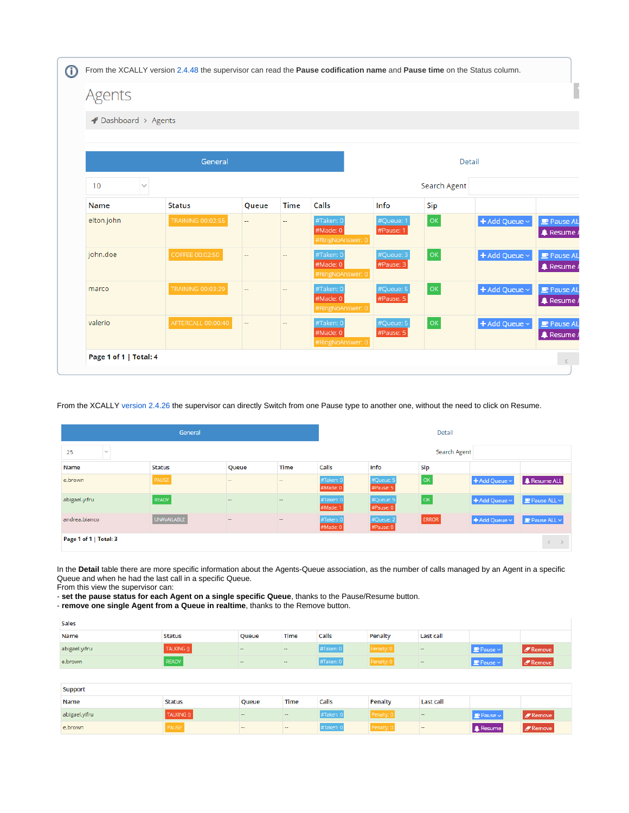| <b>Agents</b>      |                    |                          |                          |                                           |                        |                                                                                                    |                    |                                   |  |  |  |
|--------------------|--------------------|--------------------------|--------------------------|-------------------------------------------|------------------------|----------------------------------------------------------------------------------------------------|--------------------|-----------------------------------|--|--|--|
| Dashboard > Agents |                    |                          |                          |                                           |                        |                                                                                                    |                    |                                   |  |  |  |
|                    |                    |                          |                          |                                           |                        |                                                                                                    |                    |                                   |  |  |  |
|                    | General            |                          |                          |                                           |                        |                                                                                                    | Detail             |                                   |  |  |  |
| 10<br>$\checkmark$ |                    |                          |                          |                                           |                        | Search Agent                                                                                       |                    |                                   |  |  |  |
| <b>Name</b>        | <b>Status</b>      | Queue                    | <b>Time</b>              | Calls                                     | Info                   | Sip                                                                                                |                    |                                   |  |  |  |
| elton.john         | TRAINING 00:02:55  | $\overline{\phantom{a}}$ | ÷.                       | #Taken: 0<br>#Made: 0<br>#RingNoAnswer: 0 | #Queue: 1<br>#Pause: 1 | $\mathsf{OK}% _{\mathsf{CL}}\times\mathsf{CK}_{\mathsf{CL}}^{\mathsf{CL}}(\mathsf{CL})$            | + Add Queue ~      | Pause AL<br><b>A</b> Resume A     |  |  |  |
| john.doe           | COFFEE 00:02:50    | $\overline{\phantom{m}}$ | $\overline{\phantom{m}}$ | #Taken: 0<br>#Made: 0<br>#RingNoAnswer: 0 | #Queue: 3<br>#Pause: 3 | $\mathsf{OK}% \left( \mathcal{M}\right) \equiv\mathsf{OK}(\mathcal{M}_{\mathrm{CL}}(\mathcal{M}))$ | + Add Queue ~      | Pause AL<br><b>A</b> Resume A     |  |  |  |
| marco              | TRAINING 00:03:29  | $\overline{\phantom{a}}$ | --                       | #Taken: 0<br>#Made: 0<br>#RingNoAnswer: 0 | #Queue: 5<br>#Pause: 5 | $\mathsf{OK}% \left( \mathcal{M}\right) \equiv\mathsf{OK}(\mathcal{M}_{\mathrm{CL}}(\mathcal{M}))$ | + Add Queue $\sim$ | $P$ Pause AL<br><b>A</b> Resume A |  |  |  |
| valerio            | AFTERCALL 00:00:40 | $\overline{\phantom{a}}$ | $\overline{\phantom{a}}$ | #Taken: 0<br>#Made: 0<br>#RingNoAnswer: 0 | #Queue: 5<br>#Pause: 5 | OK                                                                                                 | + Add Queue ~      | Pause AL<br><b>A</b> Resume A     |  |  |  |

From the XCALLY [version 2.4.26](https://wiki.xcallymotion.com/display/XS/Shuttle+Changelog#ShuttleChangelog-Version2.4.26) the supervisor can directly Switch from one Pause type to another one, without the need to click on Resume.

|                                                   | Detail             |        |             |                       |                        |              |                                                       |                                 |
|---------------------------------------------------|--------------------|--------|-------------|-----------------------|------------------------|--------------|-------------------------------------------------------|---------------------------------|
| 25<br>$\mathcal{S}$                               | Search Agent       |        |             |                       |                        |              |                                                       |                                 |
| Name                                              | Status             | Queue  | <b>Time</b> | Calls                 | Info                   | Sip          |                                                       |                                 |
| e.brown                                           | PAUSE              | $-$    | $\sim$      | #Taken: 0<br>#Made: 0 | #Queue: 5<br>#Pause: 5 | OK           | + Add Queue ~                                         | <b>A</b> Resume ALL             |
| abigael.yifru                                     | READY              | $\sim$ | $\sim$      | #Taken: 0<br>#Made: 1 | #Queue: 5<br>#Pause: 0 | <b>OK</b>    | $\blacktriangleright$ Add Queue $\backsim$            | $\blacksquare$ Pause ALL $\vee$ |
| andrea.bianco                                     | <b>UNAVAILABLE</b> | $\sim$ | $\sim$      | #Taken: 0<br>#Made: 0 | #Queue: 2<br>#Pause: 0 | <b>ERROR</b> | $\blacktriangleright$ Add Queue $\blacktriangleright$ | $\blacksquare$ Pause ALL $\vee$ |
| Page 1 of 1   Total: 3<br>$\langle \quad \rangle$ |                    |        |             |                       |                        |              |                                                       |                                 |

In the **Detail** table there are more specific information about the Agents-Queue association, as the number of calls managed by an Agent in a specific Queue and when he had the last call in a specific Queue.

From this view the supervisor can:

- **set the pause status for each Agent on a single specific Queue**, thanks to the Pause/Resume button.

- **remove one single Agent from a Queue in realtime**, thanks to the Remove button.

| Sales         |            |                          |        |           |            |                  |                                 |                   |  |
|---------------|------------|--------------------------|--------|-----------|------------|------------------|---------------------------------|-------------------|--|
| <b>Name</b>   | Status     | Queue                    | Time   | Calls     | Penalty    | <b>Last call</b> |                                 |                   |  |
| abigael.yifru | TALKING () | $\overline{\phantom{a}}$ | $\sim$ | #Taken: 0 | Penalty: 0 | $\sim$           | $\mathbf{P}$ Pause $\mathbf{v}$ | $\sqrt{P}$ Remove |  |
| e.brown       | READY      | $\overline{\phantom{a}}$ | $\sim$ | #Taken: 0 | Penalty: 0 | $\sim$           | $\mathbf{P}$ Pause $\mathbf{v}$ | $\sqrt{Z}$ Remove |  |

| <b>Support</b> |               |        |      |           |          |                  |                     |                   |  |
|----------------|---------------|--------|------|-----------|----------|------------------|---------------------|-------------------|--|
| Name           | <b>Status</b> | Queue  | Time | Calls     | Penalty  | <b>Last call</b> |                     |                   |  |
| abigael.yifru  | TALKING ()    | $\sim$ | $ -$ | #Taken: 0 | Penalty: | $-$              | $\Box$ Pause $\vee$ | $\sqrt{s}$ Remove |  |
| e.brown        | <b>PAUSE</b>  | -      | -    | #Taken: 0 | Penalty: | -                | <b>A</b> Resume     | $\sqrt{s}$ Remove |  |